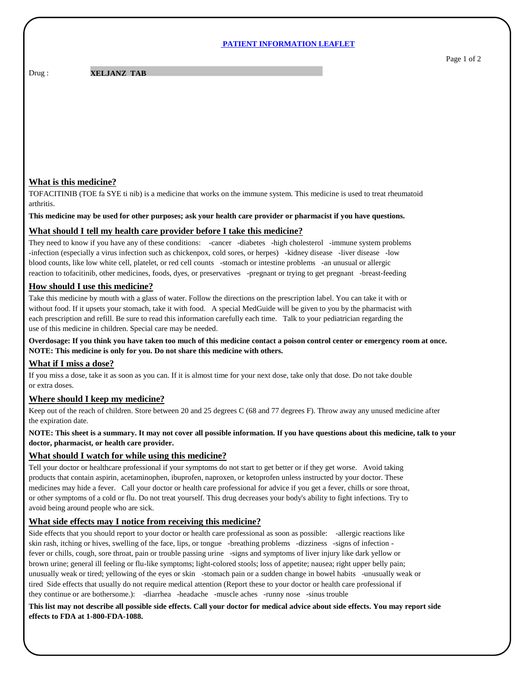#### **PATIENT INFORMATION LEAFLET**

Drug :

#### **XELJANZ TAB**

## **What is this medicine?**

TOFACITINIB (TOE fa SYE ti nib) is a medicine that works on the immune system. This medicine is used to treat rheumatoid arthritis.

**This medicine may be used for other purposes; ask your health care provider or pharmacist if you have questions.**

## **What should I tell my health care provider before I take this medicine?**

They need to know if you have any of these conditions: -cancer -diabetes -high cholesterol -immune system problems -infection (especially a virus infection such as chickenpox, cold sores, or herpes) -kidney disease -liver disease -low blood counts, like low white cell, platelet, or red cell counts -stomach or intestine problems -an unusual or allergic reaction to tofacitinib, other medicines, foods, dyes, or preservatives -pregnant or trying to get pregnant -breast-feeding

## **How should I use this medicine?**

Take this medicine by mouth with a glass of water. Follow the directions on the prescription label. You can take it with or without food. If it upsets your stomach, take it with food. A special MedGuide will be given to you by the pharmacist with each prescription and refill. Be sure to read this information carefully each time. Talk to your pediatrician regarding the use of this medicine in children. Special care may be needed.

**Overdosage: If you think you have taken too much of this medicine contact a poison control center or emergency room at once. NOTE: This medicine is only for you. Do not share this medicine with others.**

## **What if I miss a dose?**

If you miss a dose, take it as soon as you can. If it is almost time for your next dose, take only that dose. Do not take double or extra doses.

## **Where should I keep my medicine?**

Keep out of the reach of children. Store between 20 and 25 degrees C (68 and 77 degrees F). Throw away any unused medicine after the expiration date.

# **NOTE: This sheet is a summary. It may not cover all possible information. If you have questions about this medicine, talk to your doctor, pharmacist, or health care provider.**

## **What should I watch for while using this medicine?**

Tell your doctor or healthcare professional if your symptoms do not start to get better or if they get worse. Avoid taking products that contain aspirin, acetaminophen, ibuprofen, naproxen, or ketoprofen unless instructed by your doctor. These medicines may hide a fever. Call your doctor or health care professional for advice if you get a fever, chills or sore throat, or other symptoms of a cold or flu. Do not treat yourself. This drug decreases your body's ability to fight infections. Try to avoid being around people who are sick.

## **What side effects may I notice from receiving this medicine?**

Side effects that you should report to your doctor or health care professional as soon as possible: -allergic reactions like skin rash, itching or hives, swelling of the face, lips, or tongue -breathing problems -dizziness -signs of infection fever or chills, cough, sore throat, pain or trouble passing urine -signs and symptoms of liver injury like dark yellow or brown urine; general ill feeling or flu-like symptoms; light-colored stools; loss of appetite; nausea; right upper belly pain; unusually weak or tired; yellowing of the eyes or skin -stomach pain or a sudden change in bowel habits -unusually weak or tired Side effects that usually do not require medical attention (Report these to your doctor or health care professional if they continue or are bothersome.): -diarrhea -headache -muscle aches -runny nose -sinus trouble

**This list may not describe all possible side effects. Call your doctor for medical advice about side effects. You may report side effects to FDA at 1-800-FDA-1088.**